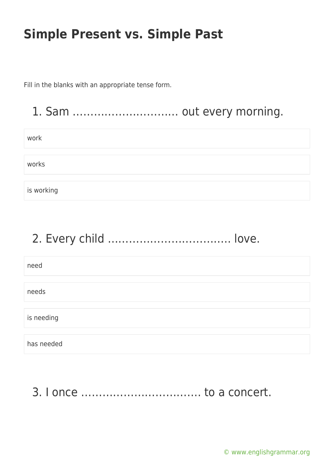Fill in the blanks with an appropriate tense form.

#### 1. Sam ………………………… out every morning.

| work       |  |
|------------|--|
|            |  |
| works      |  |
|            |  |
| is working |  |

# 2. Every child …………………………….. love.

need needs is needing has needed

3. I once ……………………………. to a concert.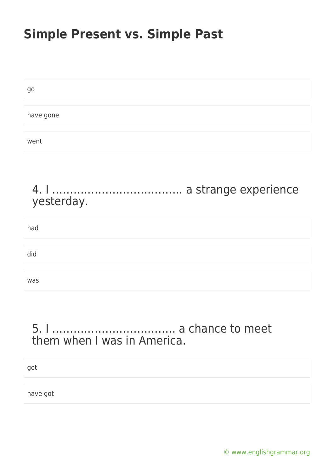| go        |  |
|-----------|--|
|           |  |
| have gone |  |
|           |  |
| went      |  |

#### 4. I ………………………………. a strange experience yesterday.

| had |  |  |
|-----|--|--|
|     |  |  |
| did |  |  |
|     |  |  |
| was |  |  |

#### 5. I …………………………….. a chance to meet them when I was in America.

got

have got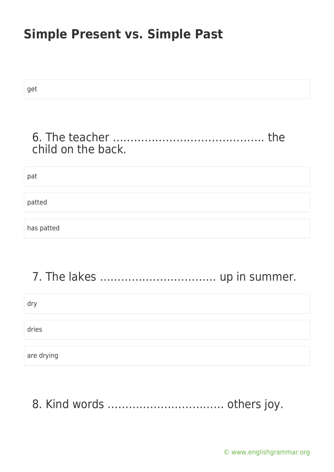| get                |
|--------------------|
| the                |
| child on the back. |
| pat                |
| patted             |
| has patted         |
|                    |

## 7. The lakes …………………………… up in summer.

dry

dries

are drying

8. Kind words …………………………… others joy.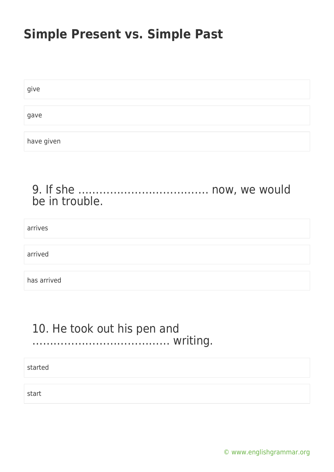| give       |  |
|------------|--|
|            |  |
| gave       |  |
|            |  |
| have given |  |

#### 9. If she ………………………………. now, we would be in trouble.

arrives

arrived

has arrived

#### 10. He took out his pen and ………………………………… writing.

started

start

[© www.englishgrammar.org](https://www.englishgrammar.org/)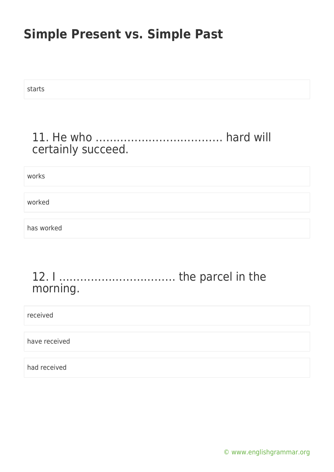starts

#### 11. He who ……………………………… hard will certainly succeed.

works

worked

has worked

#### 12. I …………………………… the parcel in the morning.

received

have received

had received

[© www.englishgrammar.org](https://www.englishgrammar.org/)